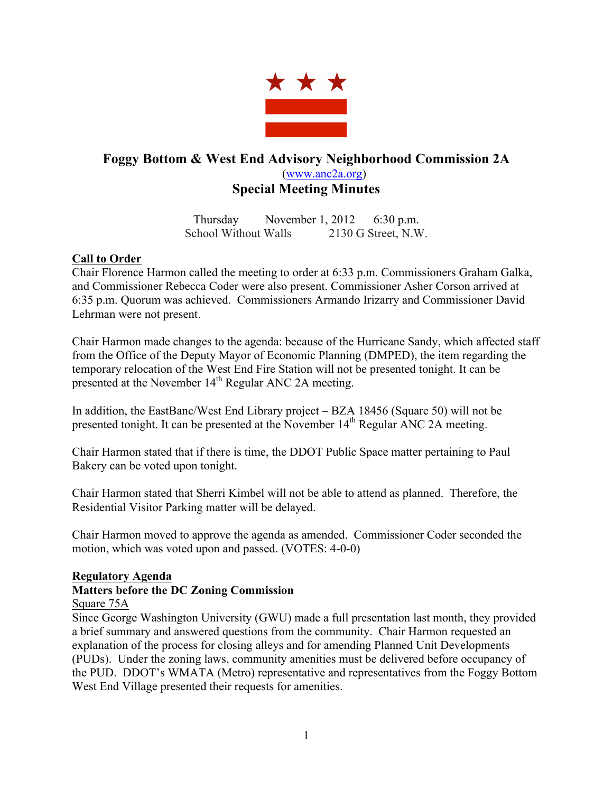

# **Foggy Bottom & West End Advisory Neighborhood Commission 2A** (www.anc2a.org) **Special Meeting Minutes**

Thursday November 1, 2012 6:30 p.m. School Without Walls 2130 G Street, N.W.

## **Call to Order**

Chair Florence Harmon called the meeting to order at 6:33 p.m. Commissioners Graham Galka, and Commissioner Rebecca Coder were also present. Commissioner Asher Corson arrived at 6:35 p.m. Quorum was achieved. Commissioners Armando Irizarry and Commissioner David Lehrman were not present.

Chair Harmon made changes to the agenda: because of the Hurricane Sandy, which affected staff from the Office of the Deputy Mayor of Economic Planning (DMPED), the item regarding the temporary relocation of the West End Fire Station will not be presented tonight. It can be presented at the November 14<sup>th</sup> Regular ANC 2A meeting.

In addition, the EastBanc/West End Library project – BZA 18456 (Square 50) will not be presented tonight. It can be presented at the November  $14<sup>th</sup>$  Regular ANC 2A meeting.

Chair Harmon stated that if there is time, the DDOT Public Space matter pertaining to Paul Bakery can be voted upon tonight.

Chair Harmon stated that Sherri Kimbel will not be able to attend as planned. Therefore, the Residential Visitor Parking matter will be delayed.

Chair Harmon moved to approve the agenda as amended. Commissioner Coder seconded the motion, which was voted upon and passed. (VOTES: 4-0-0)

### **Regulatory Agenda**

## **Matters before the DC Zoning Commission**

### Square 75A

Since George Washington University (GWU) made a full presentation last month, they provided a brief summary and answered questions from the community. Chair Harmon requested an explanation of the process for closing alleys and for amending Planned Unit Developments (PUDs). Under the zoning laws, community amenities must be delivered before occupancy of the PUD. DDOT's WMATA (Metro) representative and representatives from the Foggy Bottom West End Village presented their requests for amenities.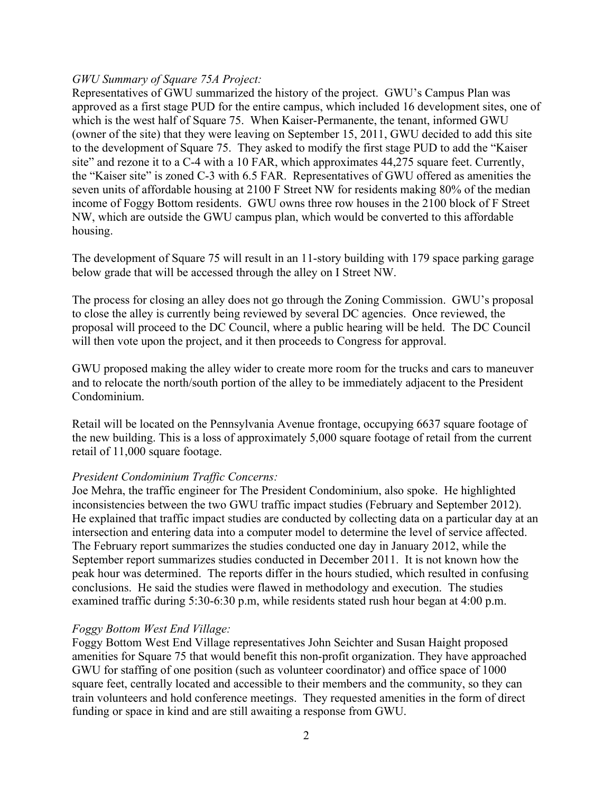### *GWU Summary of Square 75A Project:*

Representatives of GWU summarized the history of the project. GWU's Campus Plan was approved as a first stage PUD for the entire campus, which included 16 development sites, one of which is the west half of Square 75. When Kaiser-Permanente, the tenant, informed GWU (owner of the site) that they were leaving on September 15, 2011, GWU decided to add this site to the development of Square 75. They asked to modify the first stage PUD to add the "Kaiser site" and rezone it to a C-4 with a 10 FAR, which approximates 44,275 square feet. Currently, the "Kaiser site" is zoned C-3 with 6.5 FAR. Representatives of GWU offered as amenities the seven units of affordable housing at 2100 F Street NW for residents making 80% of the median income of Foggy Bottom residents. GWU owns three row houses in the 2100 block of F Street NW, which are outside the GWU campus plan, which would be converted to this affordable housing.

The development of Square 75 will result in an 11-story building with 179 space parking garage below grade that will be accessed through the alley on I Street NW.

The process for closing an alley does not go through the Zoning Commission. GWU's proposal to close the alley is currently being reviewed by several DC agencies. Once reviewed, the proposal will proceed to the DC Council, where a public hearing will be held. The DC Council will then vote upon the project, and it then proceeds to Congress for approval.

GWU proposed making the alley wider to create more room for the trucks and cars to maneuver and to relocate the north/south portion of the alley to be immediately adjacent to the President Condominium.

Retail will be located on the Pennsylvania Avenue frontage, occupying 6637 square footage of the new building. This is a loss of approximately 5,000 square footage of retail from the current retail of 11,000 square footage.

### *President Condominium Traffic Concerns:*

Joe Mehra, the traffic engineer for The President Condominium, also spoke. He highlighted inconsistencies between the two GWU traffic impact studies (February and September 2012). He explained that traffic impact studies are conducted by collecting data on a particular day at an intersection and entering data into a computer model to determine the level of service affected. The February report summarizes the studies conducted one day in January 2012, while the September report summarizes studies conducted in December 2011. It is not known how the peak hour was determined. The reports differ in the hours studied, which resulted in confusing conclusions. He said the studies were flawed in methodology and execution. The studies examined traffic during 5:30-6:30 p.m, while residents stated rush hour began at 4:00 p.m.

### *Foggy Bottom West End Village:*

Foggy Bottom West End Village representatives John Seichter and Susan Haight proposed amenities for Square 75 that would benefit this non-profit organization. They have approached GWU for staffing of one position (such as volunteer coordinator) and office space of 1000 square feet, centrally located and accessible to their members and the community, so they can train volunteers and hold conference meetings. They requested amenities in the form of direct funding or space in kind and are still awaiting a response from GWU.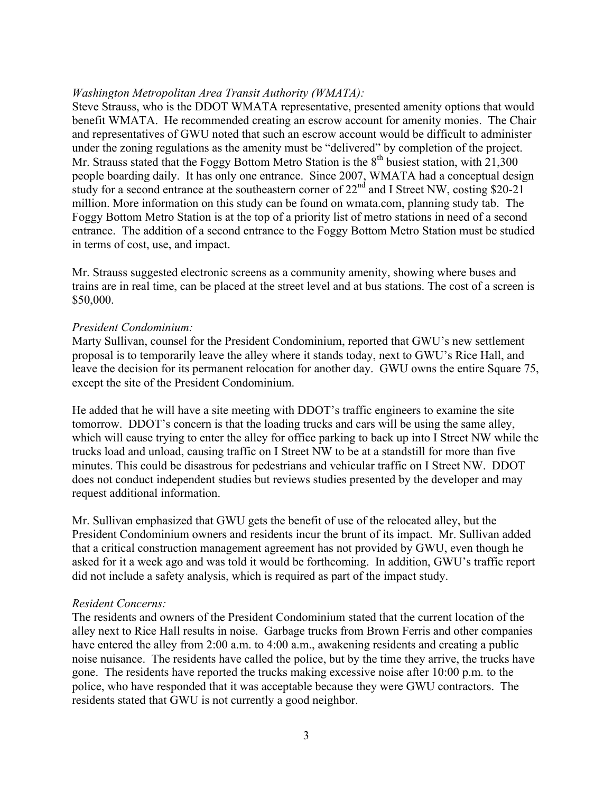### *Washington Metropolitan Area Transit Authority (WMATA):*

Steve Strauss, who is the DDOT WMATA representative, presented amenity options that would benefit WMATA. He recommended creating an escrow account for amenity monies. The Chair and representatives of GWU noted that such an escrow account would be difficult to administer under the zoning regulations as the amenity must be "delivered" by completion of the project. Mr. Strauss stated that the Foggy Bottom Metro Station is the  $8<sup>th</sup>$  busiest station, with 21,300 people boarding daily. It has only one entrance. Since 2007, WMATA had a conceptual design study for a second entrance at the southeastern corner of  $22<sup>nd</sup>$  and I Street NW, costing \$20-21 million. More information on this study can be found on wmata.com, planning study tab. The Foggy Bottom Metro Station is at the top of a priority list of metro stations in need of a second entrance. The addition of a second entrance to the Foggy Bottom Metro Station must be studied in terms of cost, use, and impact.

Mr. Strauss suggested electronic screens as a community amenity, showing where buses and trains are in real time, can be placed at the street level and at bus stations. The cost of a screen is \$50,000.

#### *President Condominium:*

Marty Sullivan, counsel for the President Condominium, reported that GWU's new settlement proposal is to temporarily leave the alley where it stands today, next to GWU's Rice Hall, and leave the decision for its permanent relocation for another day. GWU owns the entire Square 75, except the site of the President Condominium.

He added that he will have a site meeting with DDOT's traffic engineers to examine the site tomorrow. DDOT's concern is that the loading trucks and cars will be using the same alley, which will cause trying to enter the alley for office parking to back up into I Street NW while the trucks load and unload, causing traffic on I Street NW to be at a standstill for more than five minutes. This could be disastrous for pedestrians and vehicular traffic on I Street NW. DDOT does not conduct independent studies but reviews studies presented by the developer and may request additional information.

Mr. Sullivan emphasized that GWU gets the benefit of use of the relocated alley, but the President Condominium owners and residents incur the brunt of its impact. Mr. Sullivan added that a critical construction management agreement has not provided by GWU, even though he asked for it a week ago and was told it would be forthcoming. In addition, GWU's traffic report did not include a safety analysis, which is required as part of the impact study.

#### *Resident Concerns:*

The residents and owners of the President Condominium stated that the current location of the alley next to Rice Hall results in noise. Garbage trucks from Brown Ferris and other companies have entered the alley from 2:00 a.m. to 4:00 a.m., awakening residents and creating a public noise nuisance. The residents have called the police, but by the time they arrive, the trucks have gone. The residents have reported the trucks making excessive noise after 10:00 p.m. to the police, who have responded that it was acceptable because they were GWU contractors. The residents stated that GWU is not currently a good neighbor.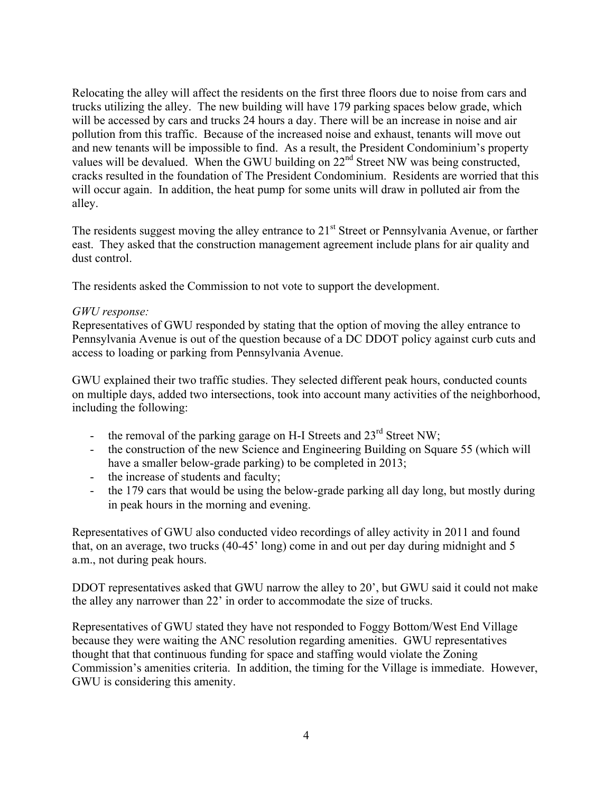Relocating the alley will affect the residents on the first three floors due to noise from cars and trucks utilizing the alley. The new building will have 179 parking spaces below grade, which will be accessed by cars and trucks 24 hours a day. There will be an increase in noise and air pollution from this traffic. Because of the increased noise and exhaust, tenants will move out and new tenants will be impossible to find. As a result, the President Condominium's property values will be devalued. When the GWU building on  $22<sup>nd</sup>$  Street NW was being constructed, cracks resulted in the foundation of The President Condominium. Residents are worried that this will occur again. In addition, the heat pump for some units will draw in polluted air from the alley.

The residents suggest moving the alley entrance to 21<sup>st</sup> Street or Pennsylvania Avenue, or farther east. They asked that the construction management agreement include plans for air quality and dust control.

The residents asked the Commission to not vote to support the development.

### *GWU response:*

Representatives of GWU responded by stating that the option of moving the alley entrance to Pennsylvania Avenue is out of the question because of a DC DDOT policy against curb cuts and access to loading or parking from Pennsylvania Avenue.

GWU explained their two traffic studies. They selected different peak hours, conducted counts on multiple days, added two intersections, took into account many activities of the neighborhood, including the following:

- the removal of the parking garage on H-I Streets and  $23<sup>rd</sup>$  Street NW;
- the construction of the new Science and Engineering Building on Square 55 (which will have a smaller below-grade parking) to be completed in 2013;
- the increase of students and faculty;
- the 179 cars that would be using the below-grade parking all day long, but mostly during in peak hours in the morning and evening.

Representatives of GWU also conducted video recordings of alley activity in 2011 and found that, on an average, two trucks (40-45' long) come in and out per day during midnight and 5 a.m., not during peak hours.

DDOT representatives asked that GWU narrow the alley to 20', but GWU said it could not make the alley any narrower than 22' in order to accommodate the size of trucks.

Representatives of GWU stated they have not responded to Foggy Bottom/West End Village because they were waiting the ANC resolution regarding amenities. GWU representatives thought that that continuous funding for space and staffing would violate the Zoning Commission's amenities criteria. In addition, the timing for the Village is immediate. However, GWU is considering this amenity.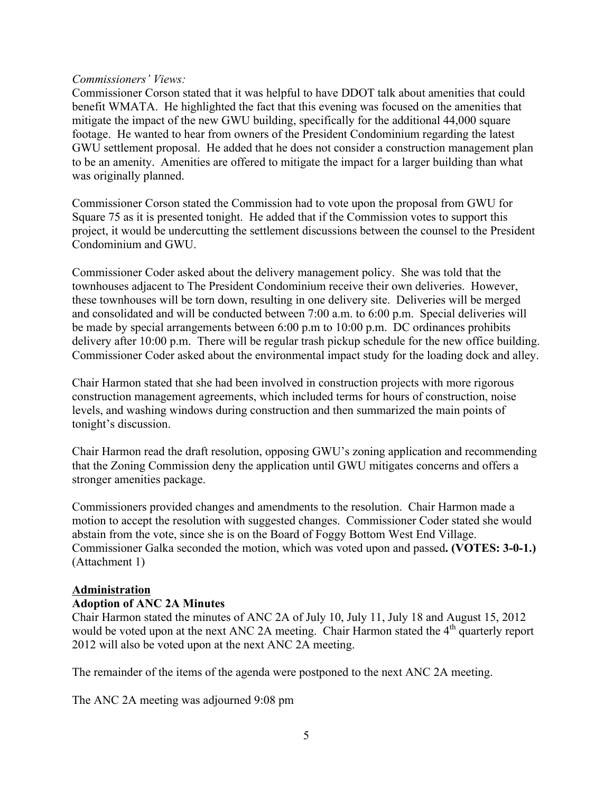#### *Commissioners' Views:*

Commissioner Corson stated that it was helpful to have DDOT talk about amenities that could benefit WMATA. He highlighted the fact that this evening was focused on the amenities that mitigate the impact of the new GWU building, specifically for the additional 44,000 square footage. He wanted to hear from owners of the President Condominium regarding the latest GWU settlement proposal. He added that he does not consider a construction management plan to be an amenity. Amenities are offered to mitigate the impact for a larger building than what was originally planned.

Commissioner Corson stated the Commission had to vote upon the proposal from GWU for Square 75 as it is presented tonight. He added that if the Commission votes to support this project, it would be undercutting the settlement discussions between the counsel to the President Condominium and GWU.

Commissioner Coder asked about the delivery management policy. She was told that the townhouses adjacent to The President Condominium receive their own deliveries. However, these townhouses will be torn down, resulting in one delivery site. Deliveries will be merged and consolidated and will be conducted between 7:00 a.m. to 6:00 p.m. Special deliveries will be made by special arrangements between 6:00 p.m to 10:00 p.m. DC ordinances prohibits delivery after 10:00 p.m. There will be regular trash pickup schedule for the new office building. Commissioner Coder asked about the environmental impact study for the loading dock and alley.

Chair Harmon stated that she had been involved in construction projects with more rigorous construction management agreements, which included terms for hours of construction, noise levels, and washing windows during construction and then summarized the main points of tonight's discussion.

Chair Harmon read the draft resolution, opposing GWU's zoning application and recommending that the Zoning Commission deny the application until GWU mitigates concerns and offers a stronger amenities package.

Commissioners provided changes and amendments to the resolution. Chair Harmon made a motion to accept the resolution with suggested changes. Commissioner Coder stated she would abstain from the vote, since she is on the Board of Foggy Bottom West End Village. Commissioner Galka seconded the motion, which was voted upon and passed**. (VOTES: 3-0-1.)** (Attachment 1)

### **Administration**

### **Adoption of ANC 2A Minutes**

Chair Harmon stated the minutes of ANC 2A of July 10, July 11, July 18 and August 15, 2012 would be voted upon at the next ANC 2A meeting. Chair Harmon stated the 4<sup>th</sup> quarterly report 2012 will also be voted upon at the next ANC 2A meeting.

The remainder of the items of the agenda were postponed to the next ANC 2A meeting.

The ANC 2A meeting was adjourned 9:08 pm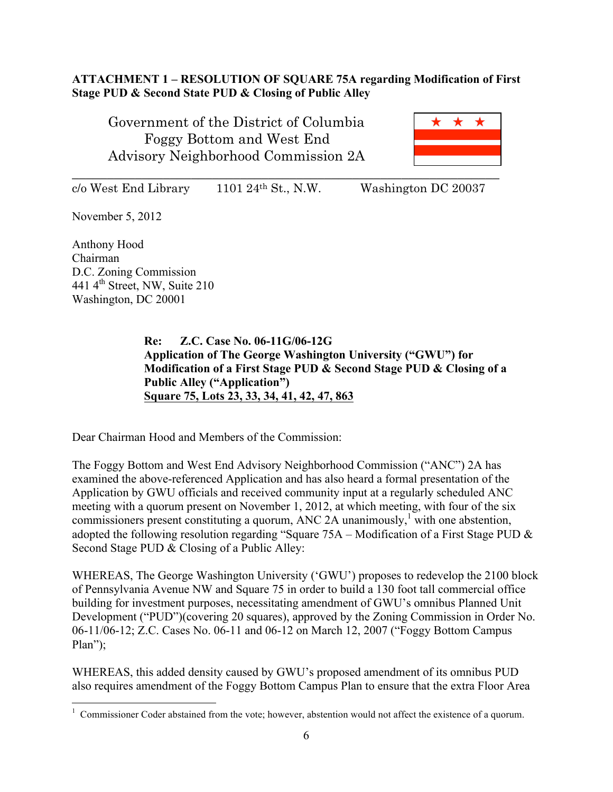## **ATTACHMENT 1 – RESOLUTION OF SQUARE 75A regarding Modification of First Stage PUD & Second State PUD & Closing of Public Alley**

Government of the District of Columbia Foggy Bottom and West End Advisory Neighborhood Commission 2A



 $c$ /o West End Library 1101 24<sup>th</sup> St., N.W. Washington DC 20037

November 5, 2012

Anthony Hood Chairman D.C. Zoning Commission 441 4th Street, NW, Suite 210 Washington, DC 20001

> **Re: Z.C. Case No. 06-11G/06-12G Application of The George Washington University ("GWU") for Modification of a First Stage PUD & Second Stage PUD & Closing of a Public Alley ("Application") Square 75, Lots 23, 33, 34, 41, 42, 47, 863**

Dear Chairman Hood and Members of the Commission:

The Foggy Bottom and West End Advisory Neighborhood Commission ("ANC") 2A has examined the above-referenced Application and has also heard a formal presentation of the Application by GWU officials and received community input at a regularly scheduled ANC meeting with a quorum present on November 1, 2012, at which meeting, with four of the six commissioners present constituting a quorum, ANC 2A unanimously,<sup>1</sup> with one abstention, adopted the following resolution regarding "Square 75A – Modification of a First Stage PUD & Second Stage PUD & Closing of a Public Alley:

WHEREAS, The George Washington University ('GWU') proposes to redevelop the 2100 block of Pennsylvania Avenue NW and Square 75 in order to build a 130 foot tall commercial office building for investment purposes, necessitating amendment of GWU's omnibus Planned Unit Development ("PUD")(covering 20 squares), approved by the Zoning Commission in Order No. 06-11/06-12; Z.C. Cases No. 06-11 and 06-12 on March 12, 2007 ("Foggy Bottom Campus Plan");

WHEREAS, this added density caused by GWU's proposed amendment of its omnibus PUD also requires amendment of the Foggy Bottom Campus Plan to ensure that the extra Floor Area

 $\frac{1}{1}$ <sup>1</sup> Commissioner Coder abstained from the vote; however, abstention would not affect the existence of a quorum.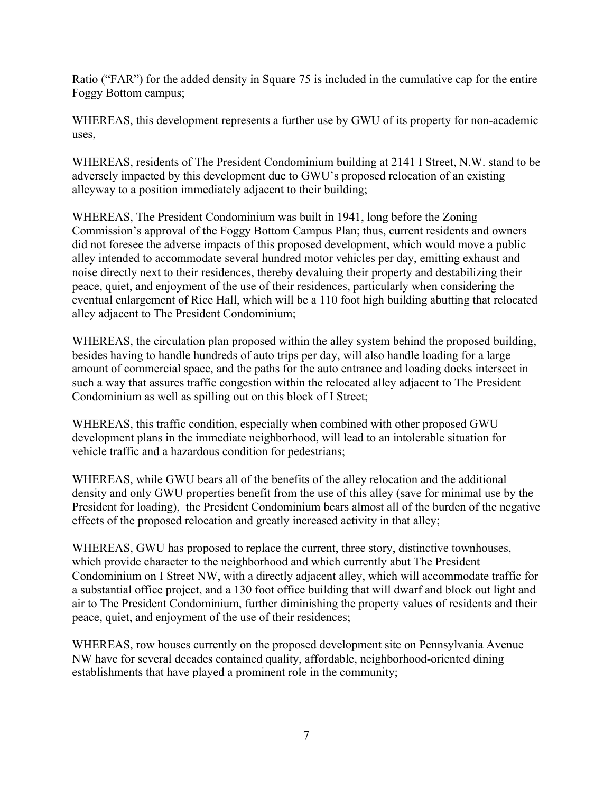Ratio ("FAR") for the added density in Square 75 is included in the cumulative cap for the entire Foggy Bottom campus;

WHEREAS, this development represents a further use by GWU of its property for non-academic uses,

WHEREAS, residents of The President Condominium building at 2141 I Street, N.W. stand to be adversely impacted by this development due to GWU's proposed relocation of an existing alleyway to a position immediately adjacent to their building:

WHEREAS, The President Condominium was built in 1941, long before the Zoning Commission's approval of the Foggy Bottom Campus Plan; thus, current residents and owners did not foresee the adverse impacts of this proposed development, which would move a public alley intended to accommodate several hundred motor vehicles per day, emitting exhaust and noise directly next to their residences, thereby devaluing their property and destabilizing their peace, quiet, and enjoyment of the use of their residences, particularly when considering the eventual enlargement of Rice Hall, which will be a 110 foot high building abutting that relocated alley adjacent to The President Condominium;

WHEREAS, the circulation plan proposed within the alley system behind the proposed building, besides having to handle hundreds of auto trips per day, will also handle loading for a large amount of commercial space, and the paths for the auto entrance and loading docks intersect in such a way that assures traffic congestion within the relocated alley adjacent to The President Condominium as well as spilling out on this block of I Street;

WHEREAS, this traffic condition, especially when combined with other proposed GWU development plans in the immediate neighborhood, will lead to an intolerable situation for vehicle traffic and a hazardous condition for pedestrians;

WHEREAS, while GWU bears all of the benefits of the alley relocation and the additional density and only GWU properties benefit from the use of this alley (save for minimal use by the President for loading), the President Condominium bears almost all of the burden of the negative effects of the proposed relocation and greatly increased activity in that alley;

WHEREAS, GWU has proposed to replace the current, three story, distinctive townhouses, which provide character to the neighborhood and which currently abut The President Condominium on I Street NW, with a directly adjacent alley, which will accommodate traffic for a substantial office project, and a 130 foot office building that will dwarf and block out light and air to The President Condominium, further diminishing the property values of residents and their peace, quiet, and enjoyment of the use of their residences;

WHEREAS, row houses currently on the proposed development site on Pennsylvania Avenue NW have for several decades contained quality, affordable, neighborhood-oriented dining establishments that have played a prominent role in the community;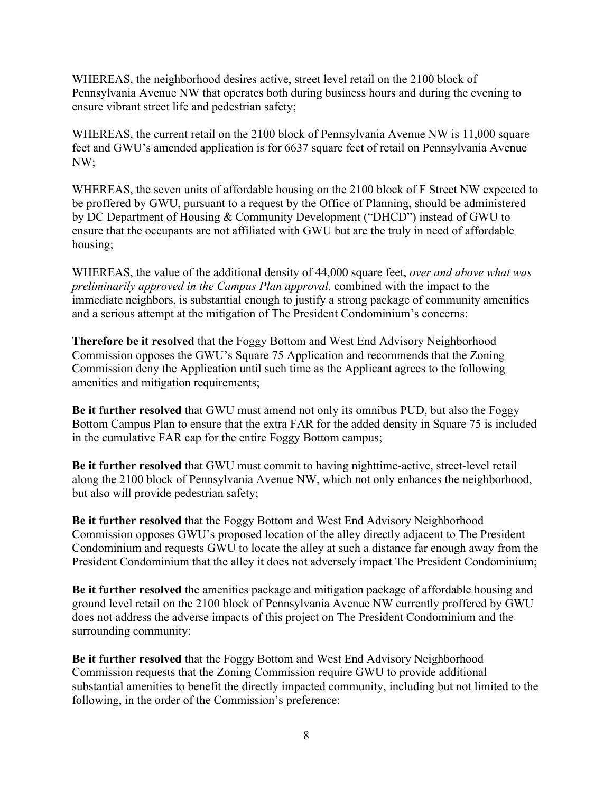WHEREAS, the neighborhood desires active, street level retail on the 2100 block of Pennsylvania Avenue NW that operates both during business hours and during the evening to ensure vibrant street life and pedestrian safety;

WHEREAS, the current retail on the 2100 block of Pennsylvania Avenue NW is 11,000 square feet and GWU's amended application is for 6637 square feet of retail on Pennsylvania Avenue NW;

WHEREAS, the seven units of affordable housing on the 2100 block of F Street NW expected to be proffered by GWU, pursuant to a request by the Office of Planning, should be administered by DC Department of Housing & Community Development ("DHCD") instead of GWU to ensure that the occupants are not affiliated with GWU but are the truly in need of affordable housing;

WHEREAS, the value of the additional density of 44,000 square feet, *over and above what was preliminarily approved in the Campus Plan approval,* combined with the impact to the immediate neighbors, is substantial enough to justify a strong package of community amenities and a serious attempt at the mitigation of The President Condominium's concerns:

**Therefore be it resolved** that the Foggy Bottom and West End Advisory Neighborhood Commission opposes the GWU's Square 75 Application and recommends that the Zoning Commission deny the Application until such time as the Applicant agrees to the following amenities and mitigation requirements;

**Be it further resolved** that GWU must amend not only its omnibus PUD, but also the Foggy Bottom Campus Plan to ensure that the extra FAR for the added density in Square 75 is included in the cumulative FAR cap for the entire Foggy Bottom campus;

**Be it further resolved** that GWU must commit to having nighttime-active, street-level retail along the 2100 block of Pennsylvania Avenue NW, which not only enhances the neighborhood, but also will provide pedestrian safety;

**Be it further resolved** that the Foggy Bottom and West End Advisory Neighborhood Commission opposes GWU's proposed location of the alley directly adjacent to The President Condominium and requests GWU to locate the alley at such a distance far enough away from the President Condominium that the alley it does not adversely impact The President Condominium;

**Be it further resolved** the amenities package and mitigation package of affordable housing and ground level retail on the 2100 block of Pennsylvania Avenue NW currently proffered by GWU does not address the adverse impacts of this project on The President Condominium and the surrounding community:

**Be it further resolved** that the Foggy Bottom and West End Advisory Neighborhood Commission requests that the Zoning Commission require GWU to provide additional substantial amenities to benefit the directly impacted community, including but not limited to the following, in the order of the Commission's preference: